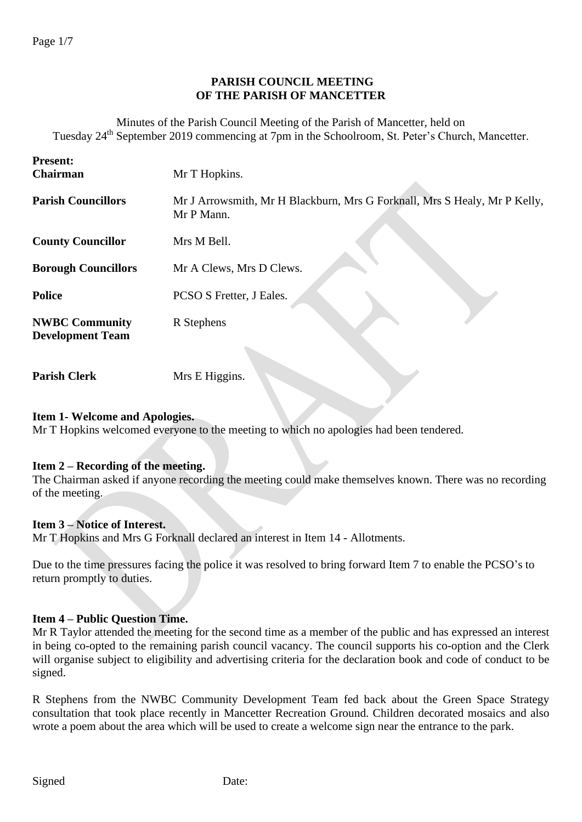## **PARISH COUNCIL MEETING OF THE PARISH OF MANCETTER**

Minutes of the Parish Council Meeting of the Parish of Mancetter, held on Tuesday 24<sup>th</sup> September 2019 commencing at 7pm in the Schoolroom, St. Peter's Church, Mancetter.

| <b>Present:</b><br><b>Chairman</b>               | Mr T Hopkins.                                                                           |
|--------------------------------------------------|-----------------------------------------------------------------------------------------|
| <b>Parish Councillors</b>                        | Mr J Arrowsmith, Mr H Blackburn, Mrs G Forknall, Mrs S Healy, Mr P Kelly,<br>Mr P Mann. |
| <b>County Councillor</b>                         | Mrs M Bell.                                                                             |
| <b>Borough Councillors</b>                       | Mr A Clews, Mrs D Clews.                                                                |
| <b>Police</b>                                    | PCSO S Fretter, J Eales.                                                                |
| <b>NWBC Community</b><br><b>Development Team</b> | R Stephens                                                                              |
|                                                  |                                                                                         |

**Parish Clerk** Mrs E Higgins.

#### **Item 1- Welcome and Apologies.**

Mr T Hopkins welcomed everyone to the meeting to which no apologies had been tendered.

## **Item 2 – Recording of the meeting.**

The Chairman asked if anyone recording the meeting could make themselves known. There was no recording of the meeting.

## **Item 3 – Notice of Interest.**

Mr T Hopkins and Mrs G Forknall declared an interest in Item 14 - Allotments.

Due to the time pressures facing the police it was resolved to bring forward Item 7 to enable the PCSO's to return promptly to duties.

## **Item 4 – Public Question Time.**

Mr R Taylor attended the meeting for the second time as a member of the public and has expressed an interest in being co-opted to the remaining parish council vacancy. The council supports his co-option and the Clerk will organise subject to eligibility and advertising criteria for the declaration book and code of conduct to be signed.

R Stephens from the NWBC Community Development Team fed back about the Green Space Strategy consultation that took place recently in Mancetter Recreation Ground. Children decorated mosaics and also wrote a poem about the area which will be used to create a welcome sign near the entrance to the park.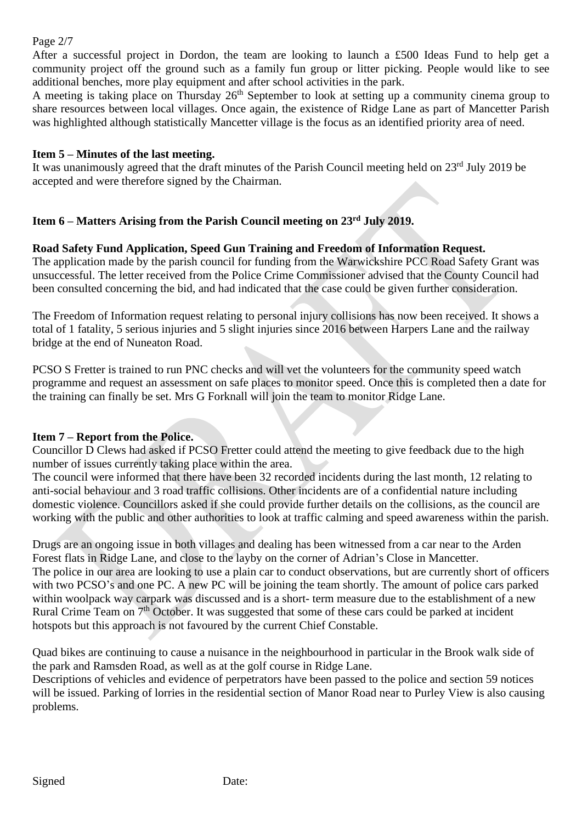#### Page 2/7

After a successful project in Dordon, the team are looking to launch a £500 Ideas Fund to help get a community project off the ground such as a family fun group or litter picking. People would like to see additional benches, more play equipment and after school activities in the park.

A meeting is taking place on Thursday  $26<sup>th</sup>$  September to look at setting up a community cinema group to share resources between local villages. Once again, the existence of Ridge Lane as part of Mancetter Parish was highlighted although statistically Mancetter village is the focus as an identified priority area of need.

## **Item 5 – Minutes of the last meeting.**

It was unanimously agreed that the draft minutes of the Parish Council meeting held on 23<sup>rd</sup> July 2019 be accepted and were therefore signed by the Chairman.

# **Item 6 – Matters Arising from the Parish Council meeting on 23 rd July 2019.**

## **Road Safety Fund Application, Speed Gun Training and Freedom of Information Request.**

The application made by the parish council for funding from the Warwickshire PCC Road Safety Grant was unsuccessful. The letter received from the Police Crime Commissioner advised that the County Council had been consulted concerning the bid, and had indicated that the case could be given further consideration.

The Freedom of Information request relating to personal injury collisions has now been received. It shows a total of 1 fatality, 5 serious injuries and 5 slight injuries since 2016 between Harpers Lane and the railway bridge at the end of Nuneaton Road.

PCSO S Fretter is trained to run PNC checks and will vet the volunteers for the community speed watch programme and request an assessment on safe places to monitor speed. Once this is completed then a date for the training can finally be set. Mrs G Forknall will join the team to monitor Ridge Lane.

## **Item 7 – Report from the Police.**

Councillor D Clews had asked if PCSO Fretter could attend the meeting to give feedback due to the high number of issues currently taking place within the area.

The council were informed that there have been 32 recorded incidents during the last month, 12 relating to anti-social behaviour and 3 road traffic collisions. Other incidents are of a confidential nature including domestic violence. Councillors asked if she could provide further details on the collisions, as the council are working with the public and other authorities to look at traffic calming and speed awareness within the parish.

Drugs are an ongoing issue in both villages and dealing has been witnessed from a car near to the Arden Forest flats in Ridge Lane, and close to the layby on the corner of Adrian's Close in Mancetter. The police in our area are looking to use a plain car to conduct observations, but are currently short of officers with two PCSO's and one PC. A new PC will be joining the team shortly. The amount of police cars parked within woolpack way carpark was discussed and is a short- term measure due to the establishment of a new Rural Crime Team on 7<sup>th</sup> October. It was suggested that some of these cars could be parked at incident hotspots but this approach is not favoured by the current Chief Constable.

Quad bikes are continuing to cause a nuisance in the neighbourhood in particular in the Brook walk side of the park and Ramsden Road, as well as at the golf course in Ridge Lane.

Descriptions of vehicles and evidence of perpetrators have been passed to the police and section 59 notices will be issued. Parking of lorries in the residential section of Manor Road near to Purley View is also causing problems.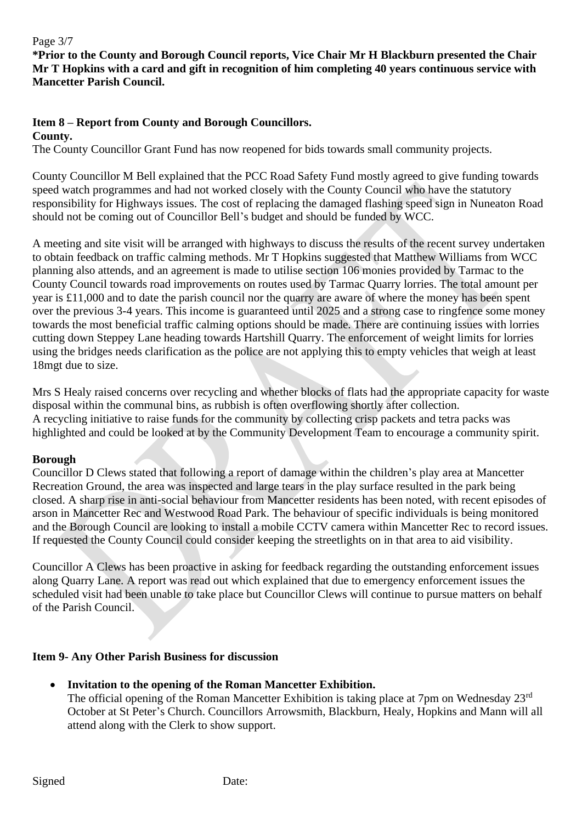#### Page 3/7

**\*Prior to the County and Borough Council reports, Vice Chair Mr H Blackburn presented the Chair Mr T Hopkins with a card and gift in recognition of him completing 40 years continuous service with Mancetter Parish Council.**

## **Item 8 – Report from County and Borough Councillors.**

**County.**

The County Councillor Grant Fund has now reopened for bids towards small community projects.

County Councillor M Bell explained that the PCC Road Safety Fund mostly agreed to give funding towards speed watch programmes and had not worked closely with the County Council who have the statutory responsibility for Highways issues. The cost of replacing the damaged flashing speed sign in Nuneaton Road should not be coming out of Councillor Bell's budget and should be funded by WCC.

A meeting and site visit will be arranged with highways to discuss the results of the recent survey undertaken to obtain feedback on traffic calming methods. Mr T Hopkins suggested that Matthew Williams from WCC planning also attends, and an agreement is made to utilise section 106 monies provided by Tarmac to the County Council towards road improvements on routes used by Tarmac Quarry lorries. The total amount per year is £11,000 and to date the parish council nor the quarry are aware of where the money has been spent over the previous 3-4 years. This income is guaranteed until 2025 and a strong case to ringfence some money towards the most beneficial traffic calming options should be made. There are continuing issues with lorries cutting down Steppey Lane heading towards Hartshill Quarry. The enforcement of weight limits for lorries using the bridges needs clarification as the police are not applying this to empty vehicles that weigh at least 18mgt due to size.

Mrs S Healy raised concerns over recycling and whether blocks of flats had the appropriate capacity for waste disposal within the communal bins, as rubbish is often overflowing shortly after collection. A recycling initiative to raise funds for the community by collecting crisp packets and tetra packs was highlighted and could be looked at by the Community Development Team to encourage a community spirit.

## **Borough**

Councillor D Clews stated that following a report of damage within the children's play area at Mancetter Recreation Ground, the area was inspected and large tears in the play surface resulted in the park being closed. A sharp rise in anti-social behaviour from Mancetter residents has been noted, with recent episodes of arson in Mancetter Rec and Westwood Road Park. The behaviour of specific individuals is being monitored and the Borough Council are looking to install a mobile CCTV camera within Mancetter Rec to record issues. If requested the County Council could consider keeping the streetlights on in that area to aid visibility.

Councillor A Clews has been proactive in asking for feedback regarding the outstanding enforcement issues along Quarry Lane. A report was read out which explained that due to emergency enforcement issues the scheduled visit had been unable to take place but Councillor Clews will continue to pursue matters on behalf of the Parish Council.

## **Item 9- Any Other Parish Business for discussion**

# • **Invitation to the opening of the Roman Mancetter Exhibition.**

The official opening of the Roman Mancetter Exhibition is taking place at 7pm on Wednesday 23<sup>rd</sup> October at St Peter's Church. Councillors Arrowsmith, Blackburn, Healy, Hopkins and Mann will all attend along with the Clerk to show support.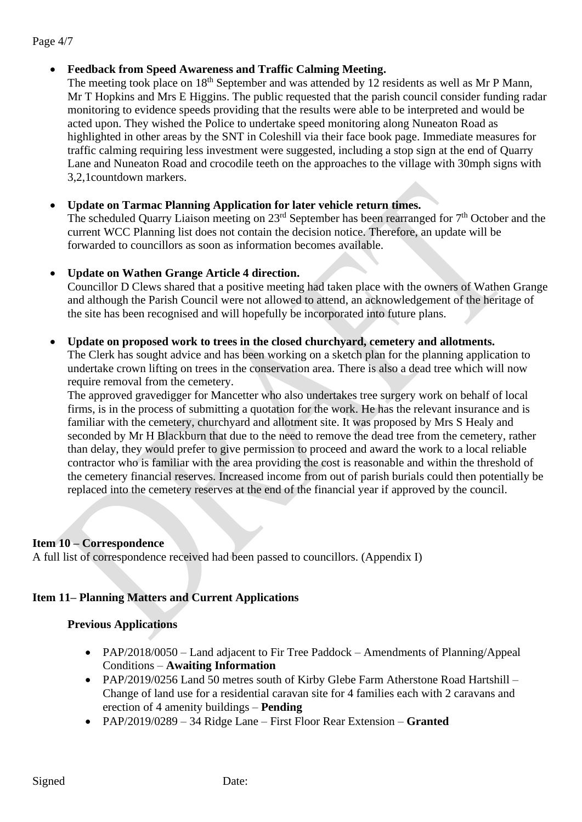#### Page 4/7

## • **Feedback from Speed Awareness and Traffic Calming Meeting.**

The meeting took place on 18<sup>th</sup> September and was attended by 12 residents as well as Mr P Mann, Mr T Hopkins and Mrs E Higgins. The public requested that the parish council consider funding radar monitoring to evidence speeds providing that the results were able to be interpreted and would be acted upon. They wished the Police to undertake speed monitoring along Nuneaton Road as highlighted in other areas by the SNT in Coleshill via their face book page. Immediate measures for traffic calming requiring less investment were suggested, including a stop sign at the end of Quarry Lane and Nuneaton Road and crocodile teeth on the approaches to the village with 30mph signs with 3,2,1countdown markers.

## • **Update on Tarmac Planning Application for later vehicle return times.**

The scheduled Quarry Liaison meeting on  $23<sup>rd</sup>$  September has been rearranged for  $7<sup>th</sup>$  October and the current WCC Planning list does not contain the decision notice. Therefore, an update will be forwarded to councillors as soon as information becomes available.

## • **Update on Wathen Grange Article 4 direction.**

Councillor D Clews shared that a positive meeting had taken place with the owners of Wathen Grange and although the Parish Council were not allowed to attend, an acknowledgement of the heritage of the site has been recognised and will hopefully be incorporated into future plans.

#### • **Update on proposed work to trees in the closed churchyard, cemetery and allotments.**

The Clerk has sought advice and has been working on a sketch plan for the planning application to undertake crown lifting on trees in the conservation area. There is also a dead tree which will now require removal from the cemetery.

The approved gravedigger for Mancetter who also undertakes tree surgery work on behalf of local firms, is in the process of submitting a quotation for the work. He has the relevant insurance and is familiar with the cemetery, churchyard and allotment site. It was proposed by Mrs S Healy and seconded by Mr H Blackburn that due to the need to remove the dead tree from the cemetery, rather than delay, they would prefer to give permission to proceed and award the work to a local reliable contractor who is familiar with the area providing the cost is reasonable and within the threshold of the cemetery financial reserves. Increased income from out of parish burials could then potentially be replaced into the cemetery reserves at the end of the financial year if approved by the council.

## **Item 10 – Correspondence**

A full list of correspondence received had been passed to councillors. (Appendix I)

# **Item 11– Planning Matters and Current Applications**

# **Previous Applications**

- PAP/2018/0050 Land adjacent to Fir Tree Paddock Amendments of Planning/Appeal Conditions – **Awaiting Information**
- PAP/2019/0256 Land 50 metres south of Kirby Glebe Farm Atherstone Road Hartshill Change of land use for a residential caravan site for 4 families each with 2 caravans and erection of 4 amenity buildings – **Pending**
- PAP/2019/0289 34 Ridge Lane First Floor Rear Extension **Granted**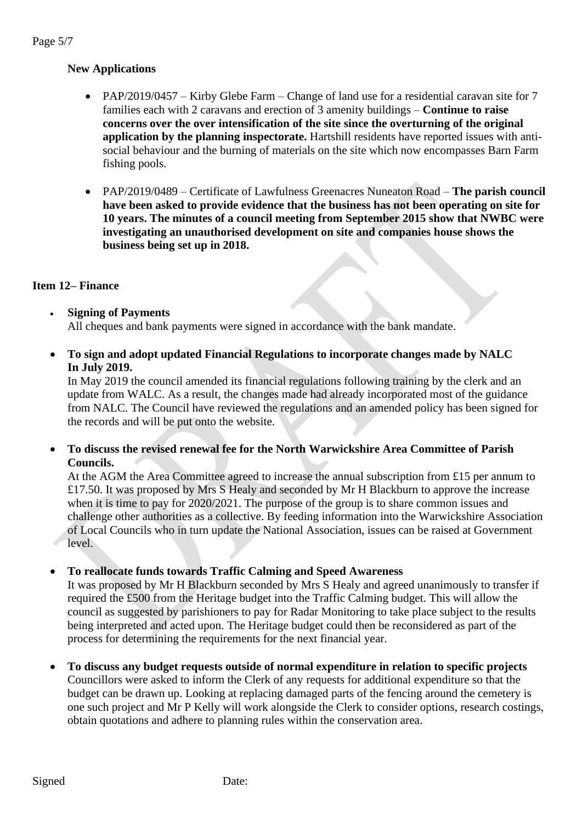# **New Applications**

- PAP/2019/0457 Kirby Glebe Farm Change of land use for a residential caravan site for 7 families each with 2 caravans and erection of 3 amenity buildings – **Continue to raise concerns over the over intensification of the site since the overturning of the original application by the planning inspectorate.** Hartshill residents have reported issues with antisocial behaviour and the burning of materials on the site which now encompasses Barn Farm fishing pools.
- PAP/2019/0489 Certificate of Lawfulness Greenacres Nuneaton Road **The parish council have been asked to provide evidence that the business has not been operating on site for 10 years. The minutes of a council meeting from September 2015 show that NWBC were investigating an unauthorised development on site and companies house shows the business being set up in 2018.**

# **Item 12– Finance**

- **Signing of Payments** All cheques and bank payments were signed in accordance with the bank mandate.
- **To sign and adopt updated Financial Regulations to incorporate changes made by NALC In July 2019.**

In May 2019 the council amended its financial regulations following training by the clerk and an update from WALC. As a result, the changes made had already incorporated most of the guidance from NALC. The Council have reviewed the regulations and an amended policy has been signed for the records and will be put onto the website.

• **To discuss the revised renewal fee for the North Warwickshire Area Committee of Parish Councils.**

At the AGM the Area Committee agreed to increase the annual subscription from £15 per annum to £17.50. It was proposed by Mrs S Healy and seconded by Mr H Blackburn to approve the increase when it is time to pay for  $2020/2021$ . The purpose of the group is to share common issues and challenge other authorities as a collective. By feeding information into the Warwickshire Association of Local Councils who in turn update the National Association, issues can be raised at Government level.

## • **To reallocate funds towards Traffic Calming and Speed Awareness**

It was proposed by Mr H Blackburn seconded by Mrs S Healy and agreed unanimously to transfer if required the £500 from the Heritage budget into the Traffic Calming budget. This will allow the council as suggested by parishioners to pay for Radar Monitoring to take place subject to the results being interpreted and acted upon. The Heritage budget could then be reconsidered as part of the process for determining the requirements for the next financial year.

• **To discuss any budget requests outside of normal expenditure in relation to specific projects** Councillors were asked to inform the Clerk of any requests for additional expenditure so that the budget can be drawn up. Looking at replacing damaged parts of the fencing around the cemetery is one such project and Mr P Kelly will work alongside the Clerk to consider options, research costings, obtain quotations and adhere to planning rules within the conservation area.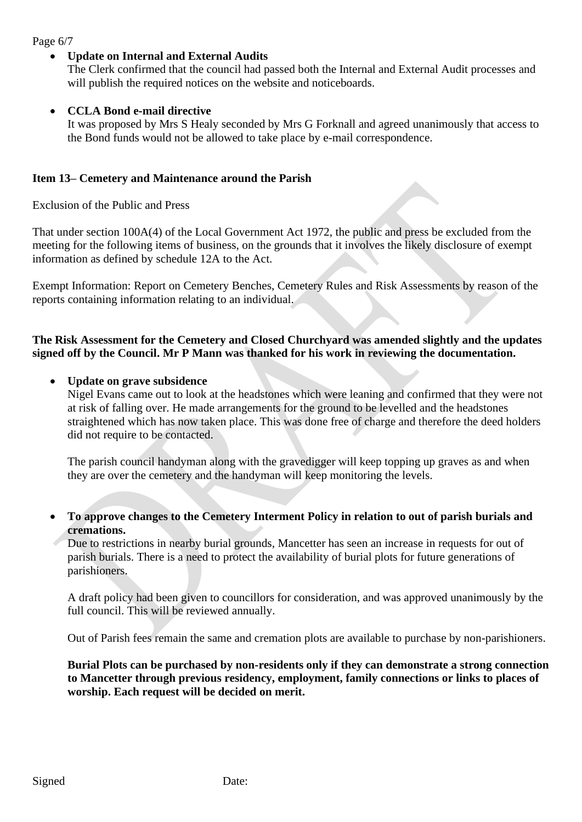Page 6/7

## • **Update on Internal and External Audits**

The Clerk confirmed that the council had passed both the Internal and External Audit processes and will publish the required notices on the website and noticeboards.

#### • **CCLA Bond e-mail directive**

It was proposed by Mrs S Healy seconded by Mrs G Forknall and agreed unanimously that access to the Bond funds would not be allowed to take place by e-mail correspondence.

#### **Item 13– Cemetery and Maintenance around the Parish**

Exclusion of the Public and Press

That under section 100A(4) of the Local Government Act 1972, the public and press be excluded from the meeting for the following items of business, on the grounds that it involves the likely disclosure of exempt information as defined by schedule 12A to the Act.

Exempt Information: Report on Cemetery Benches, Cemetery Rules and Risk Assessments by reason of the reports containing information relating to an individual.

## **The Risk Assessment for the Cemetery and Closed Churchyard was amended slightly and the updates signed off by the Council. Mr P Mann was thanked for his work in reviewing the documentation.**

#### • **Update on grave subsidence**

Nigel Evans came out to look at the headstones which were leaning and confirmed that they were not at risk of falling over. He made arrangements for the ground to be levelled and the headstones straightened which has now taken place. This was done free of charge and therefore the deed holders did not require to be contacted.

The parish council handyman along with the gravedigger will keep topping up graves as and when they are over the cemetery and the handyman will keep monitoring the levels.

• **To approve changes to the Cemetery Interment Policy in relation to out of parish burials and cremations.**

Due to restrictions in nearby burial grounds, Mancetter has seen an increase in requests for out of parish burials. There is a need to protect the availability of burial plots for future generations of parishioners.

A draft policy had been given to councillors for consideration, and was approved unanimously by the full council. This will be reviewed annually.

Out of Parish fees remain the same and cremation plots are available to purchase by non-parishioners.

**Burial Plots can be purchased by non-residents only if they can demonstrate a strong connection to Mancetter through previous residency, employment, family connections or links to places of worship. Each request will be decided on merit.**